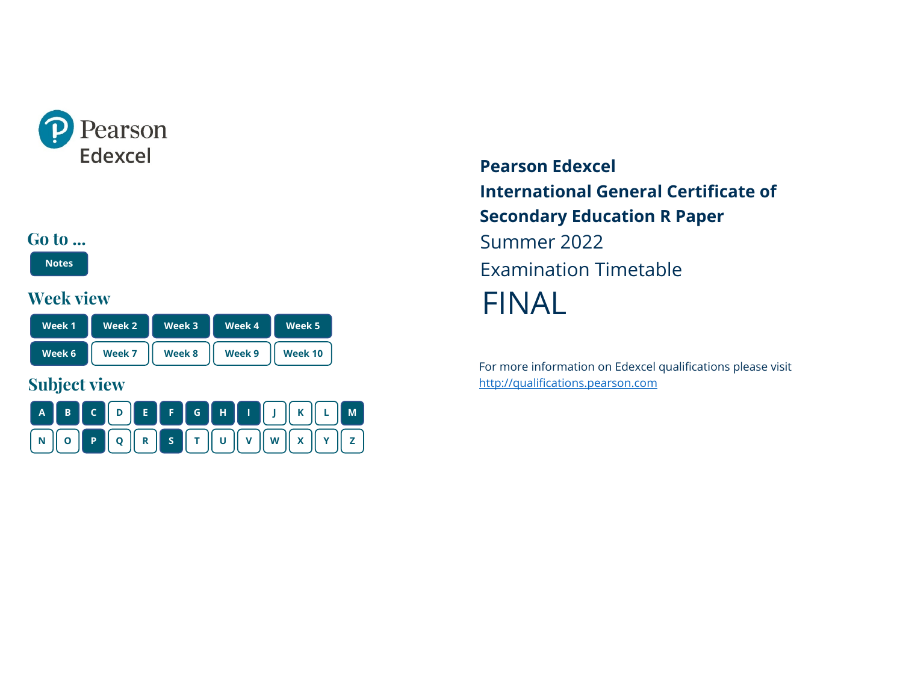<span id="page-0-0"></span>

#### **Go to ...**

**[Notes](#page-1-0)**

#### **Week view**

| Week 1 | Week 2 | Week 3 | Week 4 | Week 5  |
|--------|--------|--------|--------|---------|
| Week 6 | Week 7 | Week 8 | Week 9 | Week 10 |

# **Subject view**



**Pearson Edexcel International General Certificate of Secondary Education R Paper** Summer 2022 Examination Timetable FINAL

For more information on Edexcel qualifications please visit [http://qualifications.pearson.com](http://qualifications.pearson.com/)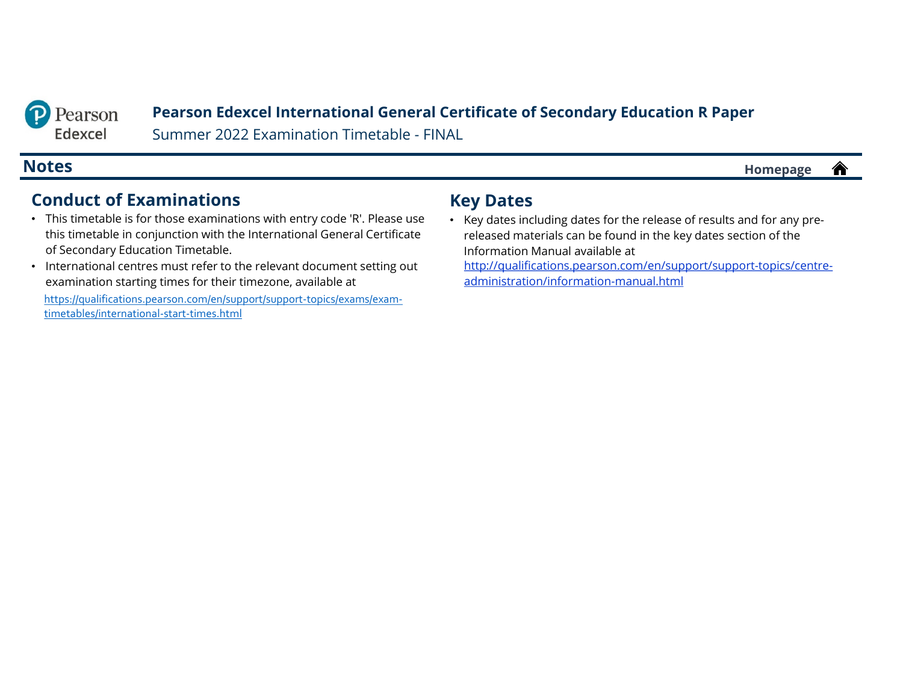<span id="page-1-0"></span>

#### **Pearson Edexcel International General Certificate of Secondary Education R Paper**

Summer 2022 Examination Timetable - FINAL

**Notes [Homepage](#page-0-0)**

#### **Conduct of Examinations**

- This timetable is for those examinations with entry code 'R'. Please use this timetable in conjunction with the International General Certificate of Secondary Education Timetable.
- International centres must refer to the relevant document setting out examination starting times for their timezone, available at

[https://qualifications.pearson.com/en/support/support-topics/exams/exam](https://qualifications.pearson.com/en/support/support-topics/exams/exam-timetables/international-start-times.html)timetables/international-start-times.html

#### **Key Dates**

• Key dates including dates for the release of results and for any prereleased materials can be found in the key dates section of the Information Manual available at [http://qualifications.pearson.com/en/support/support-topics/centre-](http://qualifications.pearson.com/en/support/support-topics/centre-administration/information-manual.html)

administration/information-manual.html

合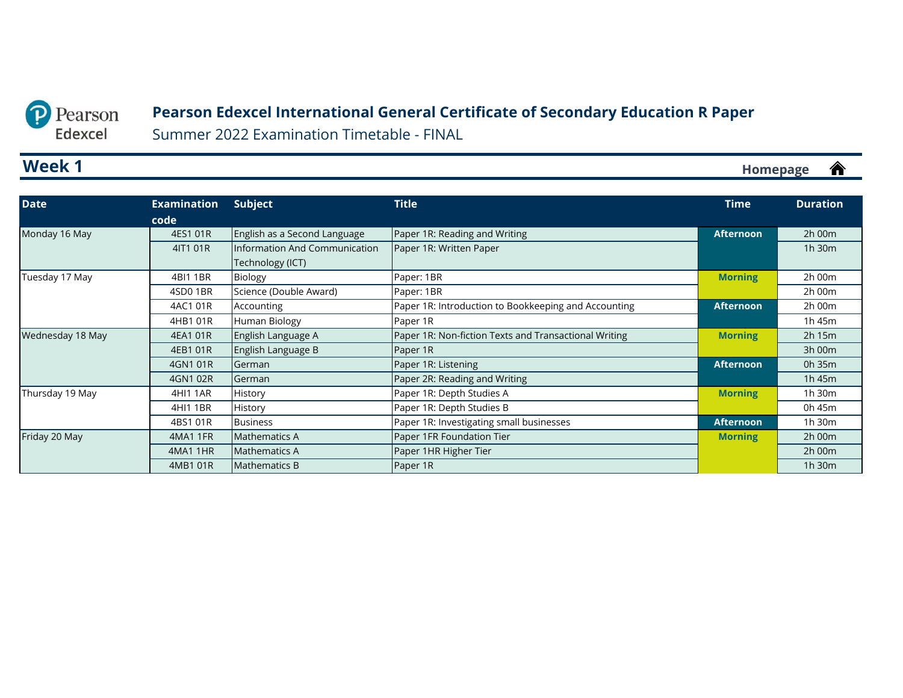#### <span id="page-2-0"></span>Pearson  $\mathbf{D}$ Edexcel

#### **Pearson Edexcel International General Certificate of Secondary Education R Paper**

Summer 2022 Examination Timetable - FINAL

### **Week 1**

| <b>Date</b>      | <b>Examination</b> | <b>Subject</b>                | <b>Title</b>                                          | <b>Time</b>      | <b>Duration</b> |
|------------------|--------------------|-------------------------------|-------------------------------------------------------|------------------|-----------------|
|                  | code               |                               |                                                       |                  |                 |
| Monday 16 May    | 4ES1 01R           | English as a Second Language  | Paper 1R: Reading and Writing                         | <b>Afternoon</b> | 2h 00m          |
|                  | 4IT1 01R           | Information And Communication | Paper 1R: Written Paper                               |                  | 1h 30m          |
|                  |                    | Technology (ICT)              |                                                       |                  |                 |
| Tuesday 17 May   | 4BI1 1BR           | Biology                       | Paper: 1BR                                            | <b>Morning</b>   | 2h 00m          |
|                  | 4SD01BR            | Science (Double Award)        | Paper: 1BR                                            |                  | 2h 00m          |
|                  | 4AC1 01R           | Accounting                    | Paper 1R: Introduction to Bookkeeping and Accounting  | <b>Afternoon</b> | 2h 00m          |
|                  | 4HB1 01R           | Human Biology                 | Paper 1R                                              |                  | 1h 45m          |
| Wednesday 18 May | 4EA1 01R           | English Language A            | Paper 1R: Non-fiction Texts and Transactional Writing | <b>Morning</b>   | $2h$ 15 $m$     |
|                  | 4EB1 01R           | English Language B            | Paper 1R                                              |                  | 3h 00m          |
|                  | 4GN1 01R           | German                        | Paper 1R: Listening                                   | <b>Afternoon</b> | 0h 35m          |
|                  | 4GN1 02R           | German                        | Paper 2R: Reading and Writing                         |                  | 1h 45m          |
| Thursday 19 May  | 4HI1 1AR           | History                       | Paper 1R: Depth Studies A                             | <b>Morning</b>   | 1h 30m          |
|                  | 4HI1 1BR           | History                       | Paper 1R: Depth Studies B                             |                  | 0h 45m          |
|                  | 4BS1 01R           | <b>Business</b>               | Paper 1R: Investigating small businesses              | <b>Afternoon</b> | 1h 30m          |
| Friday 20 May    | 4MA1 1FR           | <b>Mathematics A</b>          | Paper 1FR Foundation Tier                             | <b>Morning</b>   | 2h 00m          |
|                  | 4MA1 1HR           | <b>Mathematics A</b>          | Paper 1HR Higher Tier                                 |                  | 2h 00m          |
|                  | 4MB1 01R           | <b>Mathematics B</b>          | Paper 1R                                              |                  | 1h 30m          |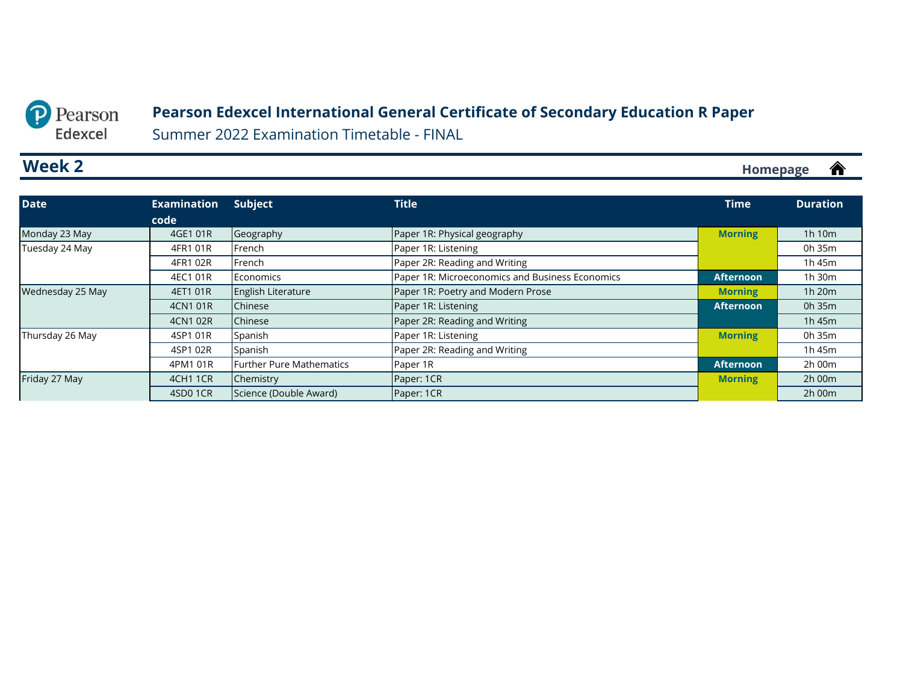#### **Pearson Edexcel International General Certificate of Secondary Education R Paper**

Summer 2022 Examination Timetable - FINAL

### <span id="page-3-0"></span>**Week 2**

**[Homepage](#page-0-0)**

| <b>Date</b>      | <b>Examination</b> | Subject                         | <b>Title</b>                                    | <b>Time</b>      | <b>Duration</b> |
|------------------|--------------------|---------------------------------|-------------------------------------------------|------------------|-----------------|
|                  | code               |                                 |                                                 |                  |                 |
| Monday 23 May    | 4GE1 01R           | Geography                       | Paper 1R: Physical geography                    | <b>Morning</b>   | 1h 10m          |
| Tuesday 24 May   | 4FR1 01R           | French                          | Paper 1R: Listening                             |                  | 0h 35m          |
|                  | 4FR1 02R           | French                          | Paper 2R: Reading and Writing                   |                  | 1h 45m          |
|                  | 4EC1 01R           | Economics                       | Paper 1R: Microeconomics and Business Economics | <b>Afternoon</b> | 1h 30m          |
| Wednesday 25 May | 4ET1 01R           | English Literature              | Paper 1R: Poetry and Modern Prose               | <b>Morning</b>   | 1h 20m          |
|                  | 4CN1 01R           | Chinese                         | Paper 1R: Listening                             | <b>Afternoon</b> | 0h 35m          |
|                  | 4CN1 02R           | Chinese                         | Paper 2R: Reading and Writing                   |                  | 1h 45m          |
| Thursday 26 May  | 4SP1 01R           | Spanish                         | Paper 1R: Listening                             | <b>Morning</b>   | 0h 35m          |
|                  | 4SP1 02R           | Spanish                         | Paper 2R: Reading and Writing                   |                  | 1h 45m          |
|                  | 4PM1 01R           | <b>Further Pure Mathematics</b> | Paper 1R                                        | <b>Afternoon</b> | 2h 00m          |
| Friday 27 May    | <b>4CH1 1CR</b>    | Chemistry                       | Paper: 1CR                                      | <b>Morning</b>   | 2h 00m          |
|                  | 4SD01CR            | Science (Double Award)          | Paper: 1CR                                      |                  | 2h 00m          |

<mark></u></mark>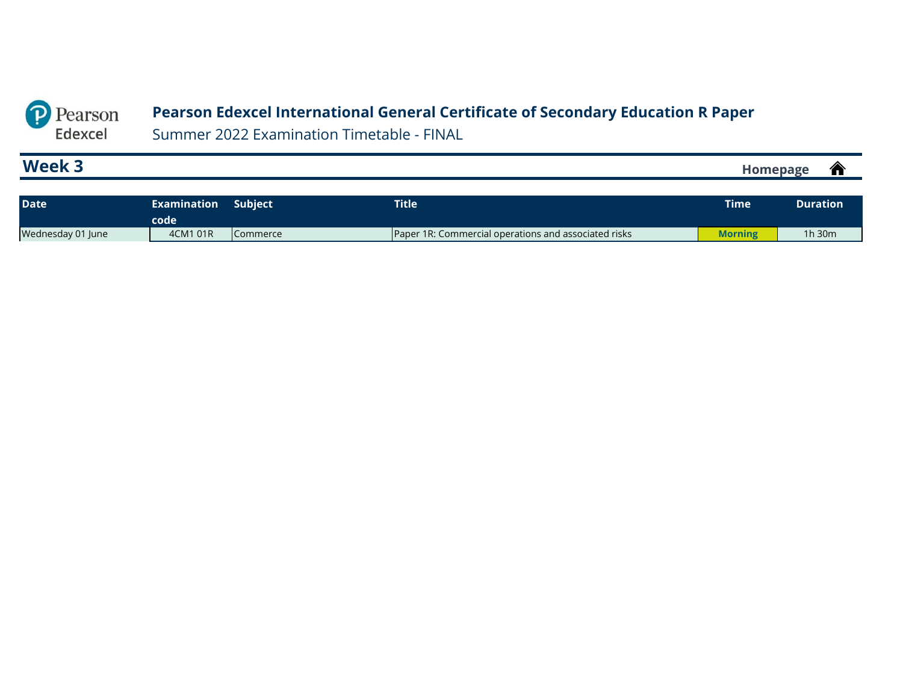#### **Pearson Edexcel International General Certificate of Secondary Education R Paper**

Summer 2022 Examination Timetable - FINAL

<span id="page-4-0"></span>P Pearson Edexcel

#### **Week 3 [Homepage](#page-0-0)**

| <b>Date</b>       | <b>Examination</b><br>code | <b>Subject</b>  | <b>Title</b>                                                | <b>Time</b> | <b>Duration</b> |
|-------------------|----------------------------|-----------------|-------------------------------------------------------------|-------------|-----------------|
| Wednesday 01 June | 4CM1 01R                   | <b>Commerce</b> | <b>Paper 1R: Commercial operations and associated risks</b> | Morning     | 1h 30m          |

 $\hat{\mathbf{r}}$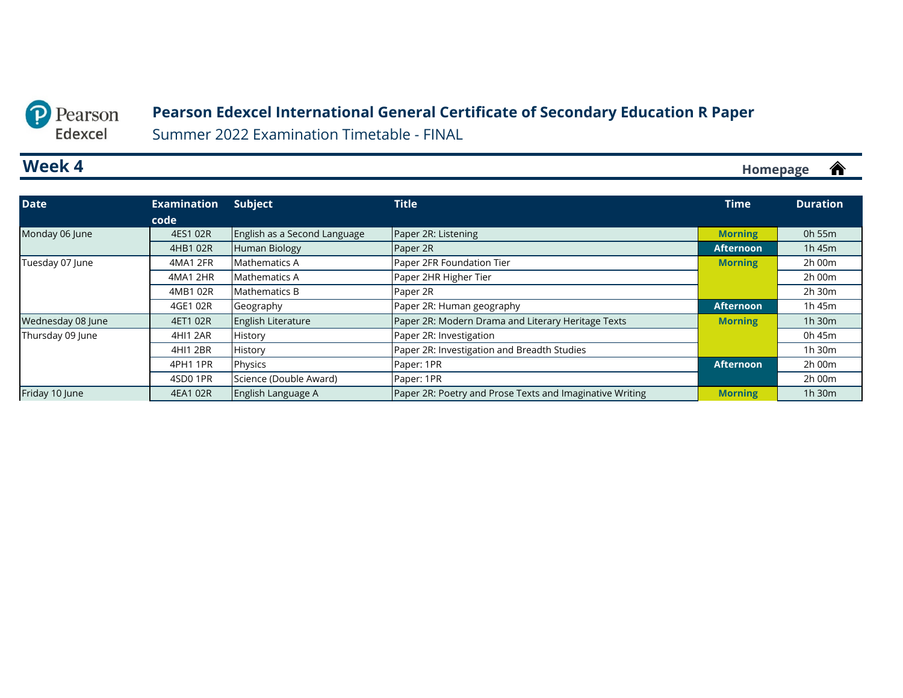#### <span id="page-5-0"></span>Pearson  $\mathbf{D}$ Edexcel

#### **Pearson Edexcel International General Certificate of Secondary Education R Paper**

Summer 2022 Examination Timetable - FINAL

### **Week 4**

| <b>Date</b>       | <b>Examination</b> | <b>Subject</b>               | <b>Title</b>                                             | <b>Time</b>      | <b>Duration</b> |
|-------------------|--------------------|------------------------------|----------------------------------------------------------|------------------|-----------------|
|                   | code               |                              |                                                          |                  |                 |
| Monday 06 June    | 4ES1 02R           | English as a Second Language | Paper 2R: Listening                                      | <b>Morning</b>   | 0h 55m          |
|                   | 4HB1 02R           | <b>Human Biology</b>         | Paper 2R                                                 | <b>Afternoon</b> | 1h 45m          |
| Tuesday 07 June   | 4MA1 2FR           | Mathematics A                | Paper 2FR Foundation Tier                                | <b>Morning</b>   | $2h$ 00 $m$     |
|                   | 4MA1 2HR           | Mathematics A                | Paper 2HR Higher Tier                                    |                  | 2h 00m          |
|                   | 4MB1 02R           | <b>Mathematics B</b>         | Paper 2R                                                 |                  | 2h 30m          |
|                   | 4GE1 02R           | Geography                    | Paper 2R: Human geography                                | <b>Afternoon</b> | 1h 45m          |
| Wednesday 08 June | 4ET1 02R           | <b>English Literature</b>    | Paper 2R: Modern Drama and Literary Heritage Texts       | <b>Morning</b>   | 1 $h$ 30 $m$    |
| Thursday 09 June  | 4HI1 2AR           | History                      | Paper 2R: Investigation                                  |                  | 0h 45m          |
|                   | 4HI1 2BR           | <b>History</b>               | Paper 2R: Investigation and Breadth Studies              |                  | 1h 30m          |
|                   | 4PH1 1PR           | Physics                      | Paper: 1PR                                               | <b>Afternoon</b> | 2h 00m          |
|                   | 4SD01PR            | Science (Double Award)       | Paper: 1PR                                               |                  | $2h$ 00 $m$     |
| Friday 10 June    | 4EA1 02R           | English Language A           | Paper 2R: Poetry and Prose Texts and Imaginative Writing | <b>Morning</b>   | 1h 30m          |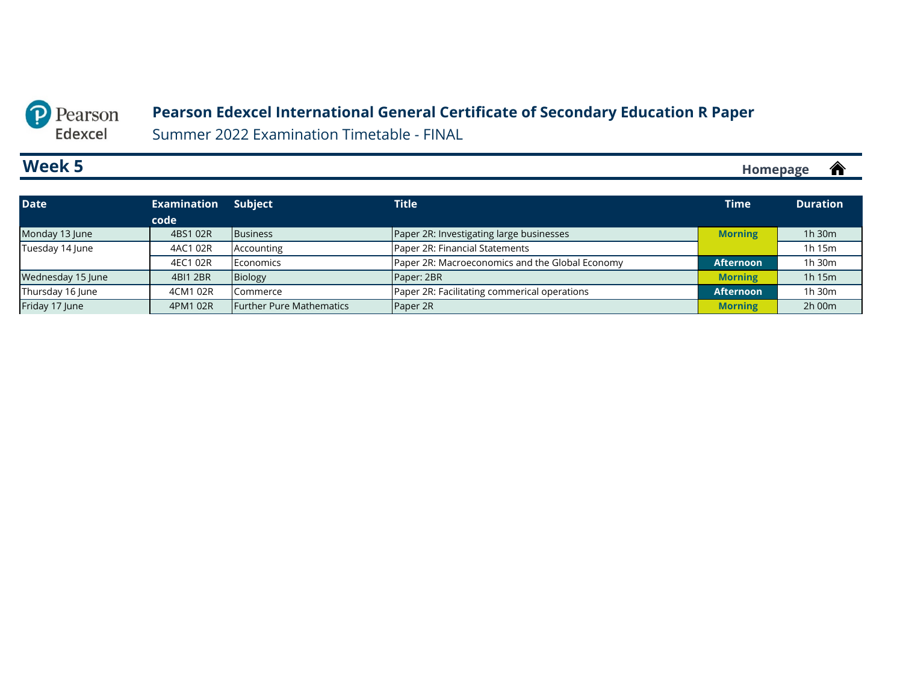#### **Pearson Edexcel International General Certificate of Secondary Education R Paper**

Summer 2022 Examination Timetable - FINAL

### <span id="page-6-0"></span>**Week 5**

 $\hat{\mathbf{r}}$ **[Homepage](#page-0-0)**

| <b>Date</b>       | <b>Examination</b> | <b>Subject</b>                  | <b>Title</b>                                    | <b>Time</b>      | <b>Duration</b> |
|-------------------|--------------------|---------------------------------|-------------------------------------------------|------------------|-----------------|
|                   | code               |                                 |                                                 |                  |                 |
| Monday 13 June    | 4BS1 02R           | <b>Business</b>                 | Paper 2R: Investigating large businesses        | <b>Morning</b>   | 1h 30m          |
| Tuesday 14 June   | 4AC1 02R           | Accounting                      | Paper 2R: Financial Statements                  |                  | 1h 15m          |
|                   | 4EC1 02R           | Economics                       | Paper 2R: Macroeconomics and the Global Economy | <b>Afternoon</b> | 1h 30m          |
| Wednesday 15 June | 4BI1 2BR           | Biology                         | Paper: 2BR                                      | <b>Morning</b>   | 1h 15m          |
| Thursday 16 June  | 4CM1 02R           | Commerce                        | Paper 2R: Facilitating commerical operations    | <b>Afternoon</b> | 1h 30m          |
| Friday 17 June    | 4PM1 02R           | <b>Further Pure Mathematics</b> | Paper 2R                                        | <b>Morning</b>   | 2h 00m          |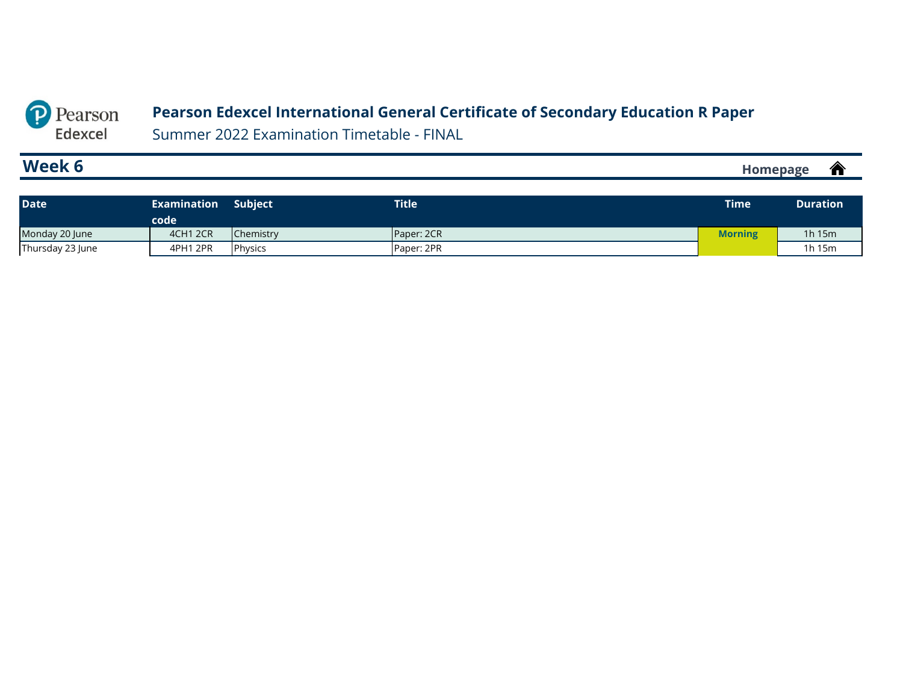#### **Pearson Edexcel International General Certificate of Secondary Education R Paper**

Summer 2022 Examination Timetable - FINAL

### **Week 6**

<span id="page-7-0"></span>P Pearson Edexcel

> $\hat{\mathbf{r}}$ **[Homepage](#page-0-0)**

| <b>Date</b>      | <b>Examination</b><br>code | <b>Subject</b> | <b>Title</b> | <b>Time</b> | <b>Duration</b> |
|------------------|----------------------------|----------------|--------------|-------------|-----------------|
| Monday 20 June   | 4CH1 2CR                   | Chemistry      | Paper: 2CR   | Morning     | 1 $h$ 15 $m$    |
| Thursday 23 June | 4PH1 2PR                   | Physics        | Paper: 2PR   |             | 1h 15m          |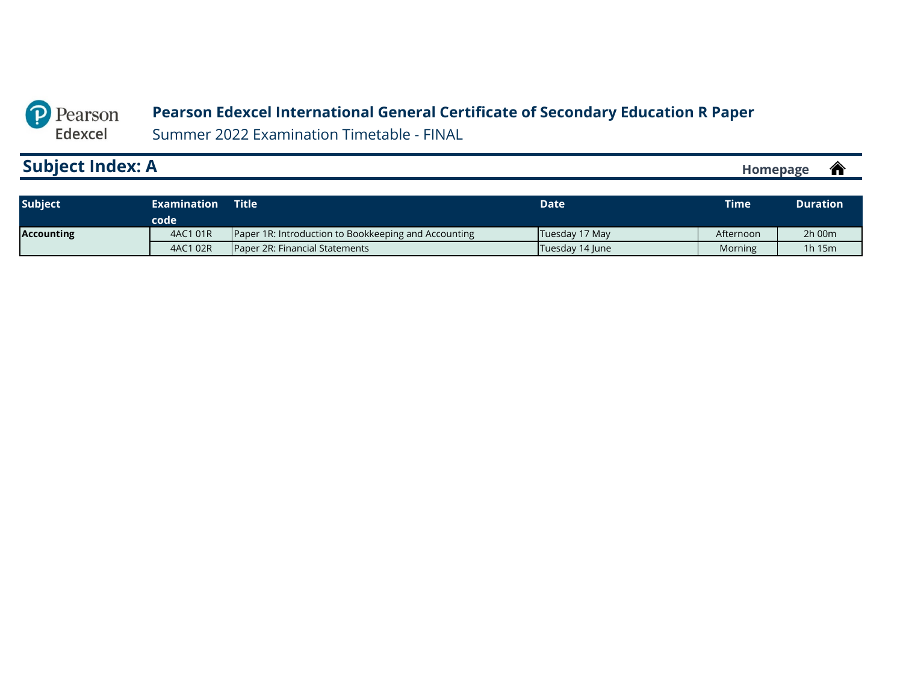#### <span id="page-8-0"></span>P Pearson **Pearson Edexcel International General Certificate of Secondary Education R Paper**

Summer 2022 Examination Timetable - FINAL

# **Subject Index: A**

Edexcel

| <b>Subject</b>    | <b>Title</b><br>Examination<br>code |                                                      | Date <sup>1</sup> | <b>Time</b> | <b>Duration</b> |
|-------------------|-------------------------------------|------------------------------------------------------|-------------------|-------------|-----------------|
| <b>Accounting</b> | 4AC1 01R                            | Paper 1R: Introduction to Bookkeeping and Accounting | Tuesday 17 May    | Afternoon   | 2h 00m          |
|                   | 4AC1 02R                            | Paper 2R: Financial Statements                       | Tuesday 14 June   | Morning     | 1h15m           |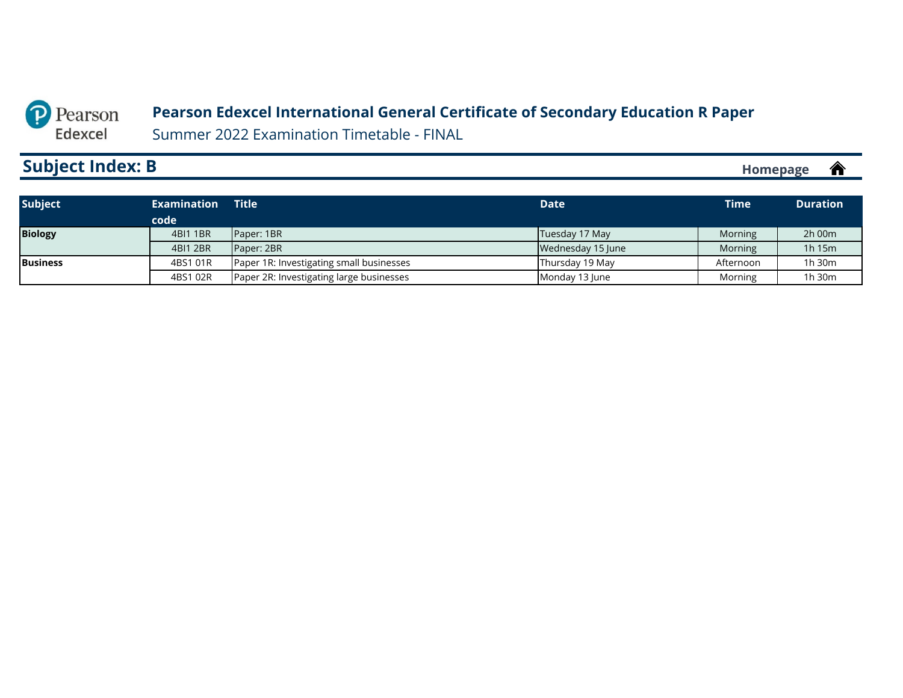#### **Pearson Edexcel International General Certificate of Secondary Education R Paper**

Summer 2022 Examination Timetable - FINAL

# <span id="page-9-0"></span>**Subject Index: B**

| <b>Subject</b>  | <b>Examination</b> | Title                                    | <b>Date</b>       | <b>Time</b> | <b>Duration</b> |
|-----------------|--------------------|------------------------------------------|-------------------|-------------|-----------------|
|                 | code               |                                          |                   |             |                 |
| <b>Biology</b>  | 4BI1 1BR           | Paper: 1BR                               | Tuesday 17 May    | Morning     | $2h$ 00 $m$     |
|                 | 4BI1 2BR           | Paper: 2BR                               | Wednesday 15 June | Morning     | 1h 15m          |
| <b>Business</b> | 4BS1 01R           | Paper 1R: Investigating small businesses | Thursday 19 May   | Afternoon   | 1h 30m          |
|                 | 4BS1 02R           | Paper 2R: Investigating large businesses | Monday 13 June    | Morning     | 1h 30m          |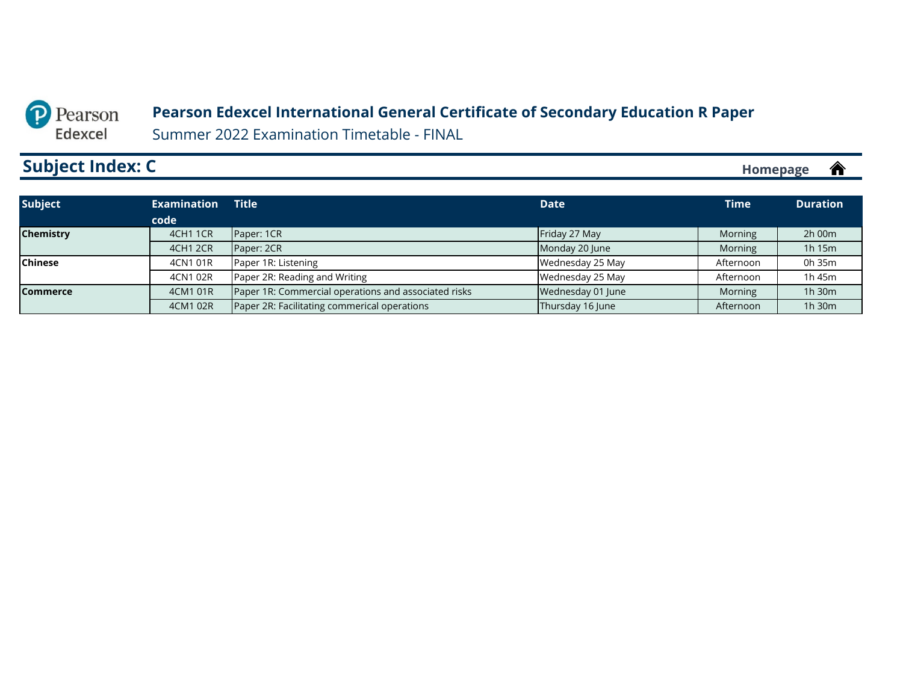#### **Pearson Edexcel International General Certificate of Secondary Education R Paper**

Summer 2022 Examination Timetable - FINAL

# <span id="page-10-0"></span>**Subject Index: C**

| <b>Subject</b>   | <b>Examination</b> | <b>Title</b>                                         | <b>Date</b>       | <b>Time</b> | <b>Duration</b> |
|------------------|--------------------|------------------------------------------------------|-------------------|-------------|-----------------|
|                  | code               |                                                      |                   |             |                 |
| <b>Chemistry</b> | <b>4CH1 1CR</b>    | Paper: 1CR                                           | Friday 27 May     | Morning     | 2h 00m          |
|                  | <b>4CH1 2CR</b>    | Paper: 2CR                                           | Monday 20 June    | Morning     | 1h 15m          |
| <b>Chinese</b>   | 4CN1 01R           | Paper 1R: Listening                                  | Wednesday 25 May  | Afternoon   | 0h 35m          |
|                  | 4CN1 02R           | Paper 2R: Reading and Writing                        | Wednesday 25 May  | Afternoon   | 1h 45m          |
| <b>Commerce</b>  | 4CM1 01R           | Paper 1R: Commercial operations and associated risks | Wednesday 01 June | Morning     | 1h 30m          |
|                  | 4CM1 02R           | Paper 2R: Facilitating commerical operations         | Thursday 16 June  | Afternoon   | 1h 30m          |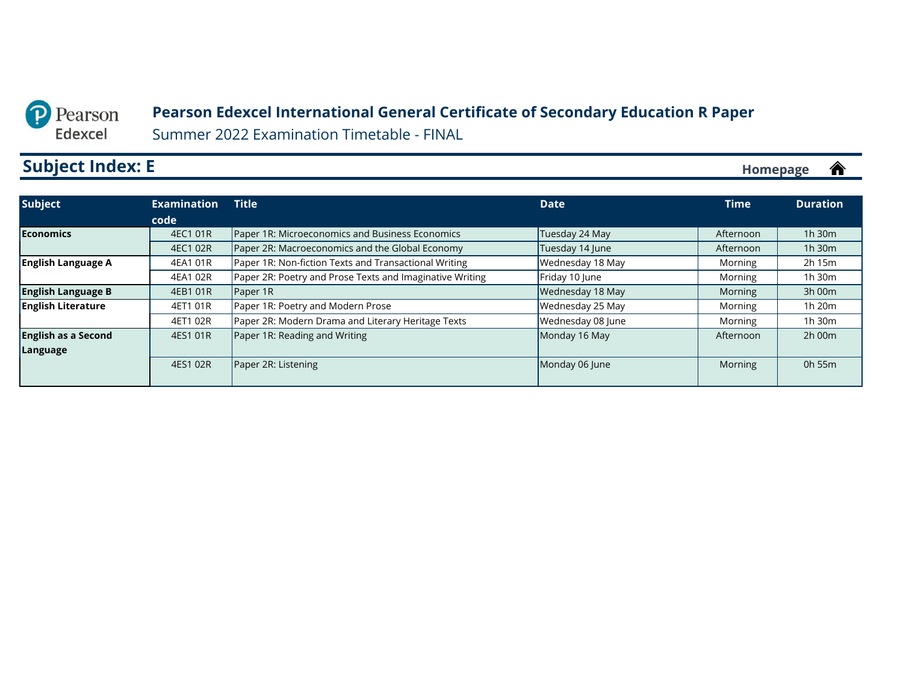#### **Pearson Edexcel International General Certificate of Secondary Education R Paper**

Summer 2022 Examination Timetable - FINAL

# <span id="page-11-0"></span>**Subject Index: E**

| 1h 30m |
|--------|
|        |
|        |
| 1h 30m |
| 2h 15m |
| 1h 30m |
| 3h 00m |
| 1h 20m |
| 1h 30m |
| 2h 00m |
|        |
| 0h 55m |
|        |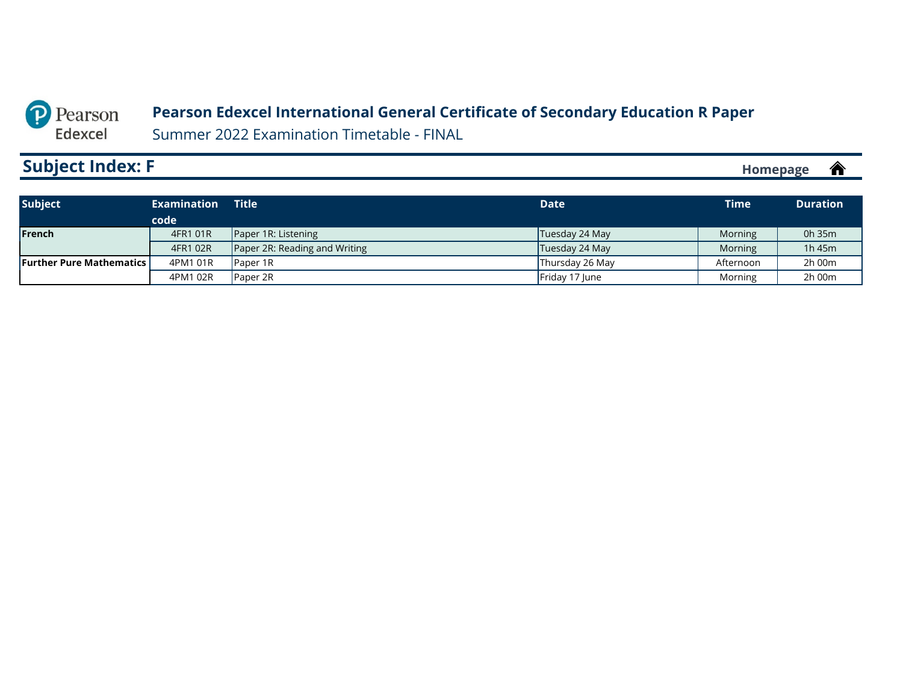#### **Pearson Edexcel International General Certificate of Secondary Education R Paper**

Summer 2022 Examination Timetable - FINAL

# <span id="page-12-0"></span>**Subject Index: F**

| <b>Subject</b>                    | <b>Examination</b> | Title $^{\prime}$             | <b>Date</b>     | <b>Time</b>    | <b>Duration</b> |
|-----------------------------------|--------------------|-------------------------------|-----------------|----------------|-----------------|
|                                   | code               |                               |                 |                |                 |
| <b>IFrench</b>                    | 4FR1 01R           | Paper 1R: Listening           | Tuesday 24 May  | <b>Morning</b> | 0h 35m          |
|                                   | 4FR1 02R           | Paper 2R: Reading and Writing | Tuesday 24 May  | Morning        | 1h 45m          |
| <b>Further Pure Mathematics I</b> | 4PM1 01R           | <b>Paper 1R</b>               | Thursday 26 May | Afternoon      | 2h 00m          |
|                                   | 4PM1 02R           | <b>Paper 2R</b>               | Friday 17 June  | Morning        | 2h 00m          |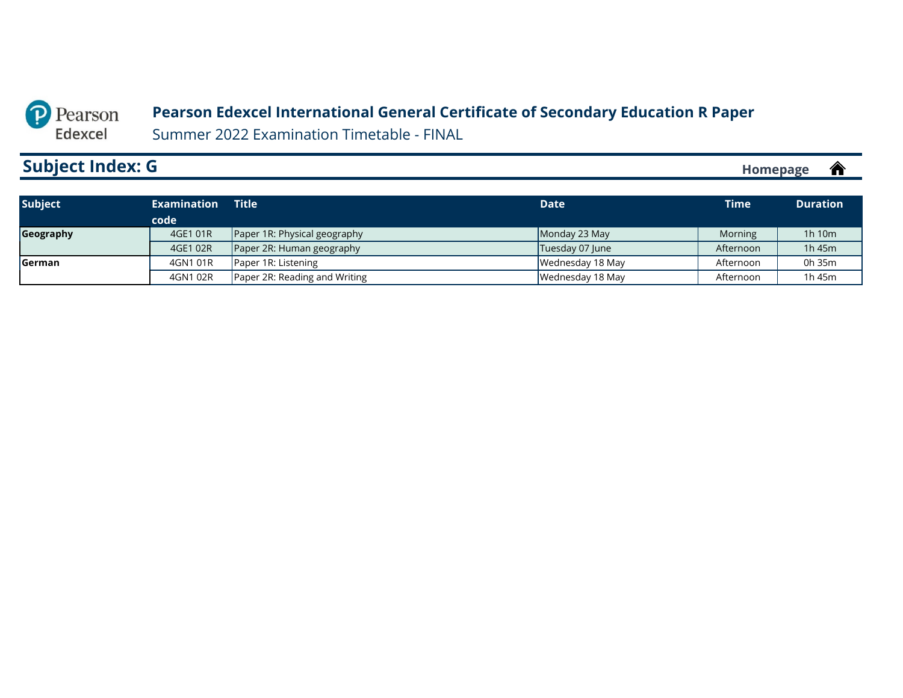#### **Pearson Edexcel International General Certificate of Secondary Education R Paper**

Summer 2022 Examination Timetable - FINAL

# <span id="page-13-0"></span>**Subject Index: G**

| <b>Subject</b> | <b>Examination</b> | <b>Title</b>                        | <b>Date</b>      | Time <b>\</b> | <b>Duration</b> |
|----------------|--------------------|-------------------------------------|------------------|---------------|-----------------|
|                | code               |                                     |                  |               |                 |
| Geography      | 4GE1 01R           | <b>Paper 1R: Physical geography</b> | Monday 23 May    | Morning       | 1h 10m          |
|                | 4GE1 02R           | Paper 2R: Human geography           | Tuesday 07 June  | Afternoon     | 1h 45m          |
| <b>Serman</b>  | 4GN1 01R           | Paper 1R: Listening                 | Wednesday 18 May | Afternoon     | 0h 35m          |
|                | 4GN1 02R           | Paper 2R: Reading and Writing       | Wednesday 18 May | Afternoon     | 1h 45m          |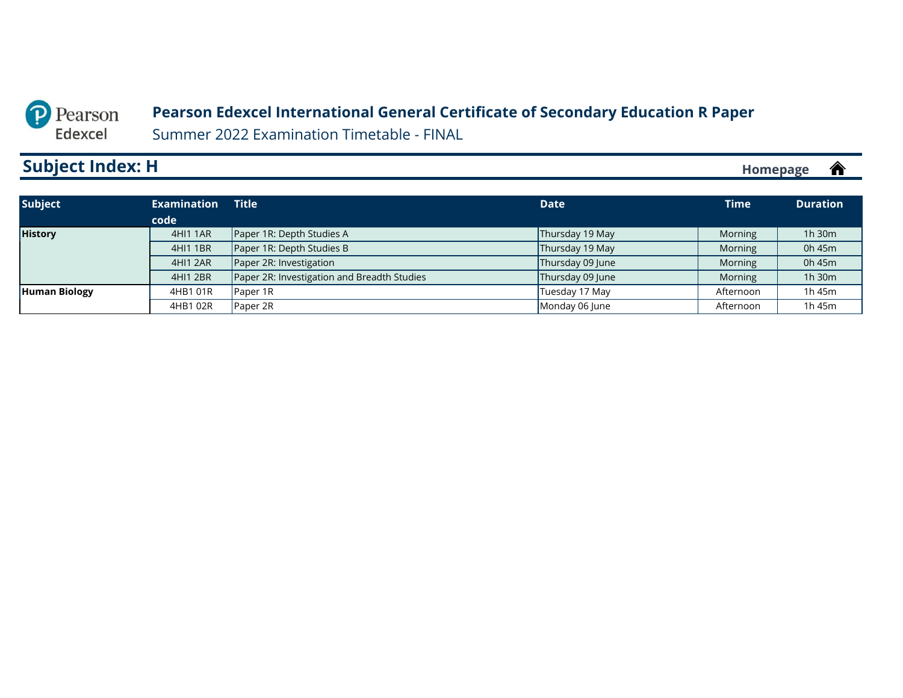#### **Pearson Edexcel International General Certificate of Secondary Education R Paper**

Summer 2022 Examination Timetable - FINAL

# <span id="page-14-0"></span>**Subject Index: H**

| <b>Subject</b>       | <b>Examination</b> | <b>Title</b>                                | <b>Date</b>      | <b>Time</b> | <b>Duration</b> |
|----------------------|--------------------|---------------------------------------------|------------------|-------------|-----------------|
|                      | code               |                                             |                  |             |                 |
| <b>History</b>       | 4HI1 1AR           | Paper 1R: Depth Studies A                   | Thursday 19 May  | Morning     | 1h 30m          |
|                      | 4HI1 1BR           | Paper 1R: Depth Studies B                   | Thursday 19 May  | Morning     | 0h 45m          |
|                      | 4HI1 2AR           | Paper 2R: Investigation                     | Thursday 09 June | Morning     | 0h 45m          |
|                      | 4HI1 2BR           | Paper 2R: Investigation and Breadth Studies | Thursday 09 June | Morning     | 1h 30m          |
| <b>Human Biology</b> | 4HB1 01R           | Paper 1R                                    | Tuesday 17 May   | Afternoon   | 1h 45m          |
|                      | 4HB1 02R           | Paper 2R                                    | Monday 06 June   | Afternoon   | 1h 45m          |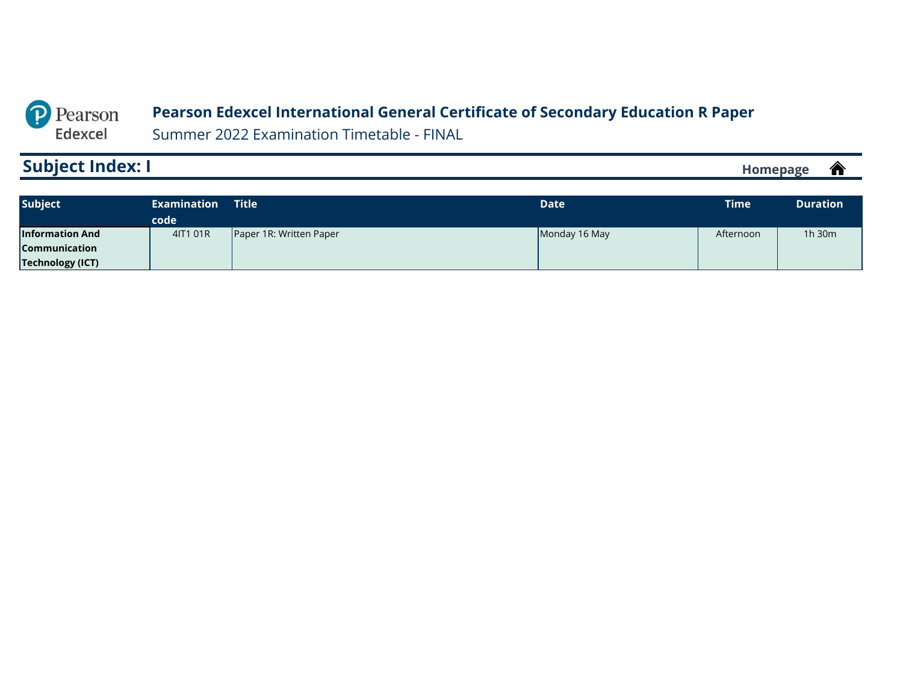#### **Pearson Edexcel International General Certificate of Secondary Education R Paper**

Summer 2022 Examination Timetable - FINAL

# <span id="page-15-0"></span>**Subject Index: I**

 $\hat{\mathbf{r}}$ **[Homepage](#page-0-0)**

| <b>Subject</b>          | <b>Examination</b> | <b>Title</b>            | <b>Date</b>   | <b>Time</b> | <b>Duration</b> |
|-------------------------|--------------------|-------------------------|---------------|-------------|-----------------|
|                         | code               |                         |               |             |                 |
| <b>Information And</b>  | 4IT1 01R           | Paper 1R: Written Paper | Monday 16 May | Afternoon   | 1h 30m          |
| <b>Communication</b>    |                    |                         |               |             |                 |
| <b>Technology (ICT)</b> |                    |                         |               |             |                 |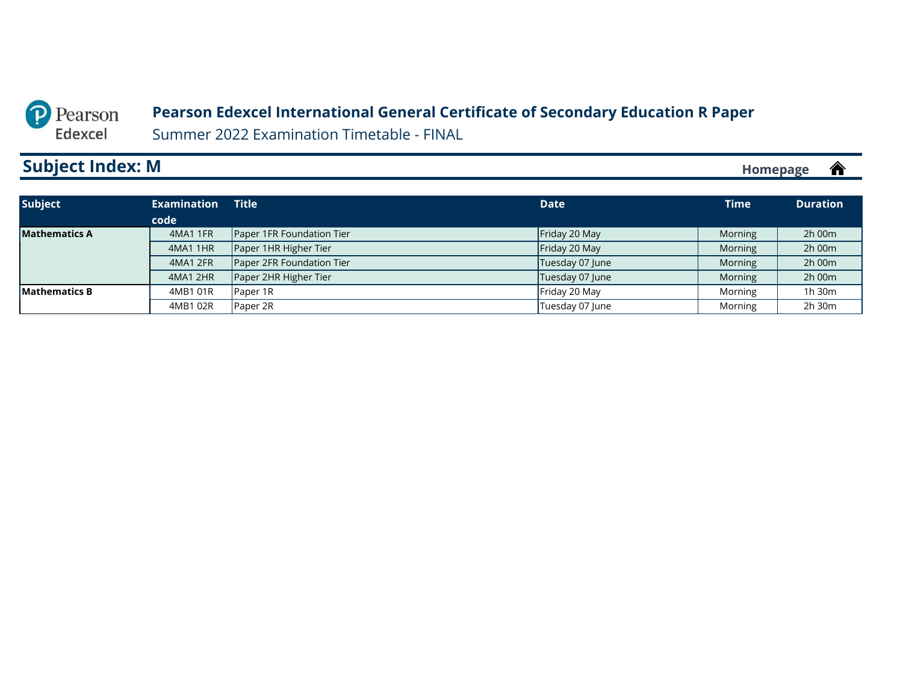#### **Pearson Edexcel International General Certificate of Secondary Education R Paper**

Summer 2022 Examination Timetable - FINAL

# <span id="page-16-0"></span>**Subject Index: M**

| <b>Subject</b>       | <b>Examination</b> | <b>Title</b>              | <b>Date</b>     | <b>Time</b> | <b>Duration</b> |
|----------------------|--------------------|---------------------------|-----------------|-------------|-----------------|
|                      | code               |                           |                 |             |                 |
| <b>Mathematics A</b> | 4MA1 1FR           | Paper 1FR Foundation Tier | Friday 20 May   | Morning     | $2h$ 00 $m$     |
|                      | 4MA1 1HR           | Paper 1HR Higher Tier     | Friday 20 May   | Morning     | 2h 00m          |
|                      | 4MA1 2FR           | Paper 2FR Foundation Tier | Tuesday 07 June | Morning     | 2h 00m          |
|                      | 4MA1 2HR           | Paper 2HR Higher Tier     | Tuesday 07 June | Morning     | 2h 00m          |
| <b>Mathematics B</b> | 4MB1 01R           | Paper 1R                  | Friday 20 May   | Morning     | 1h 30m          |
|                      | 4MB1 02R           | Paper 2R                  | Tuesday 07 June | Morning     | 2h 30m          |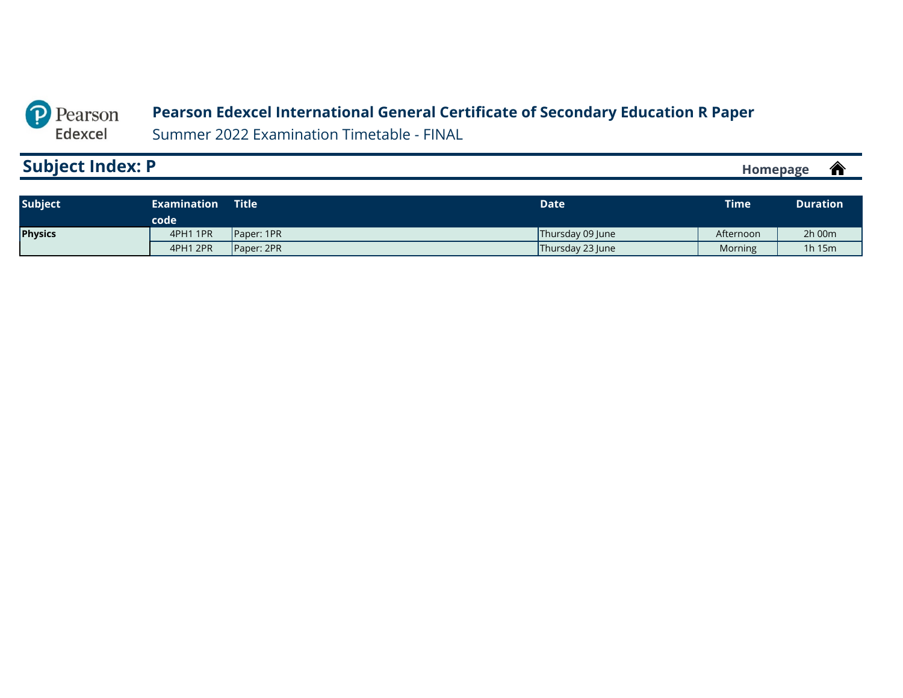#### **Pearson Edexcel International General Certificate of Secondary Education R Paper**

Summer 2022 Examination Timetable - FINAL

# <span id="page-17-0"></span>**Subject Index: P**

| <b>Subject</b> | <b>Examination</b><br>code | <b>Title</b> | Date             | <b>Time</b> | <b>Duration</b> |
|----------------|----------------------------|--------------|------------------|-------------|-----------------|
| Physics        | 4PH1 1PR                   | Paper: 1PR   | Thursday 09 June | Afternoon   | 2h 00m          |
|                | 4PH1 2PR                   | Paper: 2PR   | Thursday 23 June | Morning     | 1 $h$ 15 $m$    |